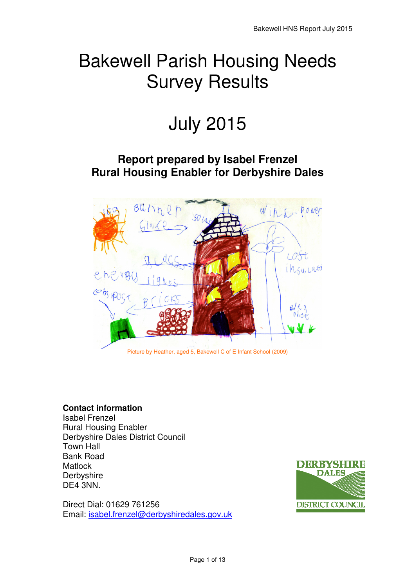## Bakewell Parish Housing Needs Survey Results

# July 2015

## **Report prepared by Isabel Frenzel Rural Housing Enabler for Derbyshire Dales**



Picture by Heather, aged 5, Bakewell C of E Infant School (2009)

#### **Contact information**

Isabel Frenzel Rural Housing Enabler Derbyshire Dales District Council Town Hall Bank Road **Matlock Derbyshire** DE4 3NN.

Direct Dial: 01629 761256 Email: isabel.frenzel@derbyshiredales.gov.uk

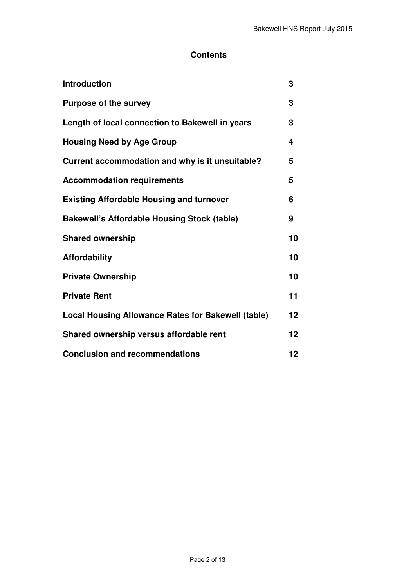## **Contents**

| <b>Introduction</b>                                       | 3  |
|-----------------------------------------------------------|----|
| <b>Purpose of the survey</b>                              | 3  |
| Length of local connection to Bakewell in years           | 3  |
| <b>Housing Need by Age Group</b>                          | 4  |
| Current accommodation and why is it unsuitable?           | 5  |
| <b>Accommodation requirements</b>                         | 5  |
| <b>Existing Affordable Housing and turnover</b>           | 6  |
| <b>Bakewell's Affordable Housing Stock (table)</b>        | 9  |
| <b>Shared ownership</b>                                   | 10 |
| <b>Affordability</b>                                      | 10 |
| <b>Private Ownership</b>                                  | 10 |
| <b>Private Rent</b>                                       | 11 |
| <b>Local Housing Allowance Rates for Bakewell (table)</b> | 12 |
| Shared ownership versus affordable rent                   | 12 |
| <b>Conclusion and recommendations</b>                     | 12 |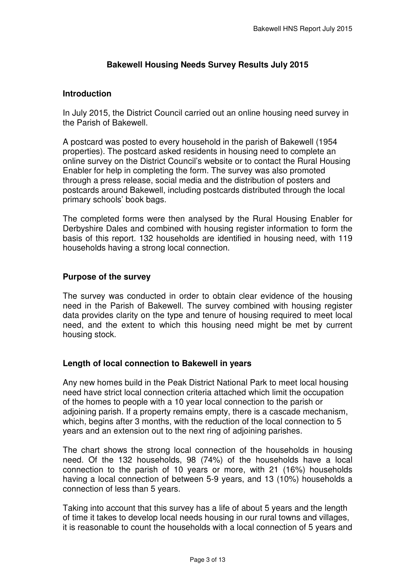## **Bakewell Housing Needs Survey Results July 2015**

#### **Introduction**

 In July 2015, the District Council carried out an online housing need survey in the Parish of Bakewell.

 A postcard was posted to every household in the parish of Bakewell (1954 properties). The postcard asked residents in housing need to complete an online survey on the District Council's website or to contact the Rural Housing Enabler for help in completing the form. The survey was also promoted through a press release, social media and the distribution of posters and postcards around Bakewell, including postcards distributed through the local primary schools' book bags.

 The completed forms were then analysed by the Rural Housing Enabler for Derbyshire Dales and combined with housing register information to form the basis of this report. 132 households are identified in housing need, with 119 households having a strong local connection.

#### **Purpose of the survey**

 The survey was conducted in order to obtain clear evidence of the housing need in the Parish of Bakewell. The survey combined with housing register data provides clarity on the type and tenure of housing required to meet local need, and the extent to which this housing need might be met by current housing stock.

#### **Length of local connection to Bakewell in years**

 Any new homes build in the Peak District National Park to meet local housing need have strict local connection criteria attached which limit the occupation of the homes to people with a 10 year local connection to the parish or adjoining parish. If a property remains empty, there is a cascade mechanism, which, begins after 3 months, with the reduction of the local connection to 5 years and an extension out to the next ring of adjoining parishes.

 The chart shows the strong local connection of the households in housing need. Of the 132 households, 98 (74%) of the households have a local connection to the parish of 10 years or more, with 21 (16%) households having a local connection of between 5-9 years, and 13 (10%) households a connection of less than 5 years.

 Taking into account that this survey has a life of about 5 years and the length of time it takes to develop local needs housing in our rural towns and villages, it is reasonable to count the households with a local connection of 5 years and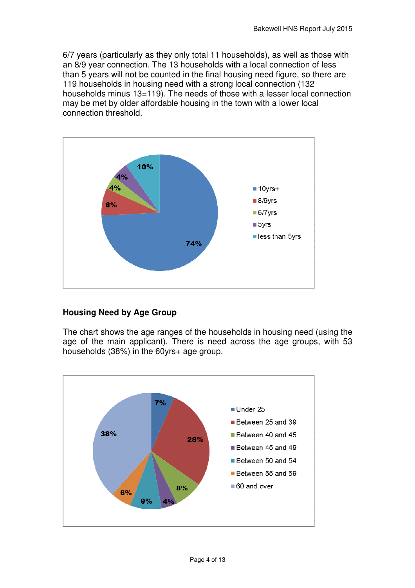6/7 years (particularly as they only total 11 households), as well as those with an 8/9 year connection. The 13 households with a local connection of less than 5 years will not be counted in the final housing need figure, so there are 119 households in housing need with a strong local connection (132 households minus 13=119). The needs of those with a lesser local connection may be met by older affordable housing in the town with a lower local connection threshold.



## **Housing Need by Age Group**

 The chart shows the age ranges of the households in housing need (using the age of the main applicant). There is need across the age groups, with 53 households (38%) in the 60yrs+ age group.

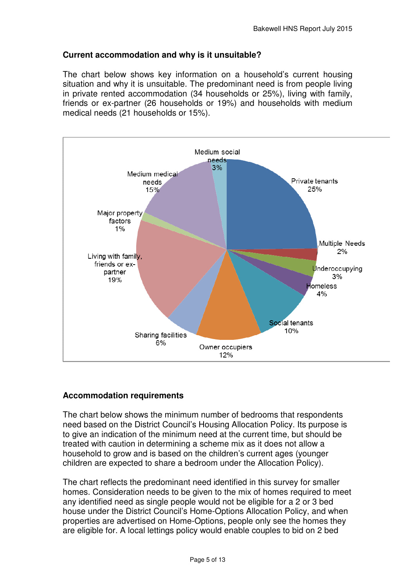## **Current accommodation and why is it unsuitable?**

 The chart below shows key information on a household's current housing situation and why it is unsuitable. The predominant need is from people living in private rented accommodation (34 households or 25%), living with family, friends or ex-partner (26 households or 19%) and households with medium medical needs (21 households or 15%).



#### **Accommodation requirements**

 The chart below shows the minimum number of bedrooms that respondents need based on the District Council's Housing Allocation Policy. Its purpose is to give an indication of the minimum need at the current time, but should be treated with caution in determining a scheme mix as it does not allow a household to grow and is based on the children's current ages (younger children are expected to share a bedroom under the Allocation Policy).

 The chart reflects the predominant need identified in this survey for smaller homes. Consideration needs to be given to the mix of homes required to meet any identified need as single people would not be eligible for a 2 or 3 bed house under the District Council's Home-Options Allocation Policy, and when properties are advertised on Home-Options, people only see the homes they are eligible for. A local lettings policy would enable couples to bid on 2 bed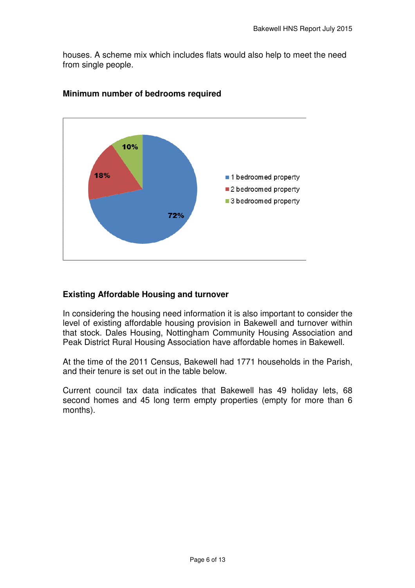houses. A scheme mix which includes flats would also help to meet the need from single people.



## **Minimum number of bedrooms required**

### **Existing Affordable Housing and turnover**

 In considering the housing need information it is also important to consider the level of existing affordable housing provision in Bakewell and turnover within that stock. Dales Housing, Nottingham Community Housing Association and Peak District Rural Housing Association have affordable homes in Bakewell.

 At the time of the 2011 Census, Bakewell had 1771 households in the Parish, and their tenure is set out in the table below.

 Current council tax data indicates that Bakewell has 49 holiday lets, 68 second homes and 45 long term empty properties (empty for more than 6 months).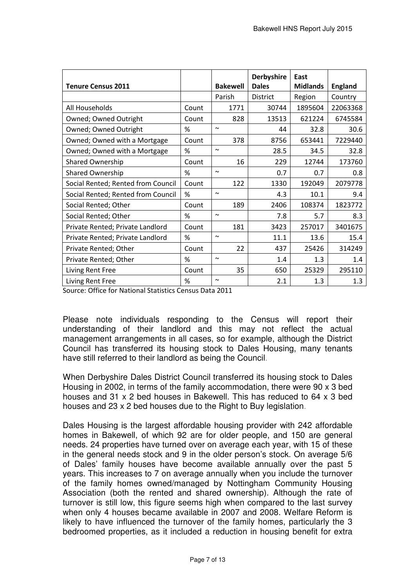|                                    |       |                       | <b>Derbyshire</b> | East            |                |
|------------------------------------|-------|-----------------------|-------------------|-----------------|----------------|
| <b>Tenure Census 2011</b>          |       | <b>Bakewell</b>       | <b>Dales</b>      | <b>Midlands</b> | <b>England</b> |
|                                    |       | Parish                | District          | Region          | Country        |
| All Households                     | Count | 1771                  | 30744             | 1895604         | 22063368       |
| Owned; Owned Outright              | Count | 828                   | 13513             | 621224          | 6745584        |
| Owned; Owned Outright              | %     | $\sim$                | 44                | 32.8            | 30.6           |
| Owned; Owned with a Mortgage       | Count | 378                   | 8756              | 653441          | 7229440        |
| Owned; Owned with a Mortgage       | %     | $\sim$                | 28.5              | 34.5            | 32.8           |
| <b>Shared Ownership</b>            | Count | 16                    | 229               | 12744           | 173760         |
| <b>Shared Ownership</b>            | %     | $\tilde{\phantom{a}}$ | 0.7               | 0.7             | 0.8            |
| Social Rented; Rented from Council | Count | 122                   | 1330              | 192049          | 2079778        |
| Social Rented; Rented from Council | %     | $\tilde{\phantom{a}}$ | 4.3               | 10.1            | 9.4            |
| Social Rented; Other               | Count | 189                   | 2406              | 108374          | 1823772        |
| Social Rented; Other               | %     | $\sim$                | 7.8               | 5.7             | 8.3            |
| Private Rented; Private Landlord   | Count | 181                   | 3423              | 257017          | 3401675        |
| Private Rented; Private Landlord   | %     | $\tilde{\phantom{a}}$ | 11.1              | 13.6            | 15.4           |
| Private Rented; Other              | Count | 22                    | 437               | 25426           | 314249         |
| Private Rented; Other              | %     | $\tilde{\phantom{a}}$ | 1.4               | 1.3             | 1.4            |
| Living Rent Free                   | Count | 35                    | 650               | 25329           | 295110         |
| Living Rent Free                   | %     | $\tilde{\phantom{a}}$ | 2.1               | 1.3             | 1.3            |

Source: Office for National Statistics Census Data 2011

 Please note individuals responding to the Census will report their understanding of their landlord and this may not reflect the actual management arrangements in all cases, so for example, although the District Council has transferred its housing stock to Dales Housing, many tenants have still referred to their landlord as being the Council.

 When Derbyshire Dales District Council transferred its housing stock to Dales Housing in 2002, in terms of the family accommodation, there were 90 x 3 bed houses and 31 x 2 bed houses in Bakewell. This has reduced to 64 x 3 bed houses and 23 x 2 bed houses due to the Right to Buy legislation.

 Dales Housing is the largest affordable housing provider with 242 affordable homes in Bakewell, of which 92 are for older people, and 150 are general in the general needs stock and 9 in the older person's stock. On average 5/6 of Dales' family houses have become available annually over the past 5 years. This increases to 7 on average annually when you include the turnover of the family homes owned/managed by Nottingham Community Housing Association (both the rented and shared ownership). Although the rate of turnover is still low, this figure seems high when compared to the last survey when only 4 houses became available in 2007 and 2008. Welfare Reform is likely to have influenced the turnover of the family homes, particularly the 3 bedroomed properties, as it included a reduction in housing benefit for extra needs. 24 properties have turned over on average each year, with 15 of these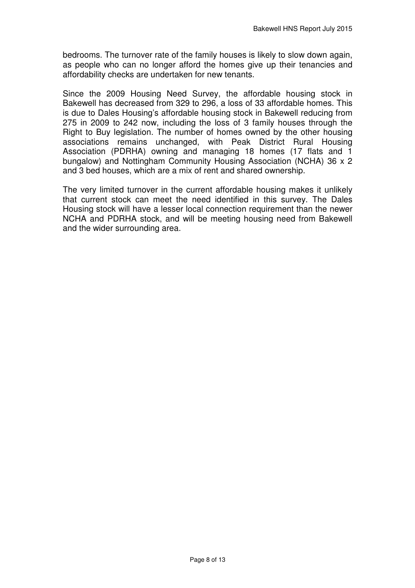bedrooms. The turnover rate of the family houses is likely to slow down again, as people who can no longer afford the homes give up their tenancies and affordability checks are undertaken for new tenants.

 Since the 2009 Housing Need Survey, the affordable housing stock in Bakewell has decreased from 329 to 296, a loss of 33 affordable homes. This is due to Dales Housing's affordable housing stock in Bakewell reducing from 275 in 2009 to 242 now, including the loss of 3 family houses through the Right to Buy legislation. The number of homes owned by the other housing associations remains unchanged, with Peak District Rural Housing Association (PDRHA) owning and managing 18 homes (17 flats and 1 bungalow) and Nottingham Community Housing Association (NCHA) 36 x 2 and 3 bed houses, which are a mix of rent and shared ownership.

 The very limited turnover in the current affordable housing makes it unlikely that current stock can meet the need identified in this survey. The Dales Housing stock will have a lesser local connection requirement than the newer NCHA and PDRHA stock, and will be meeting housing need from Bakewell and the wider surrounding area.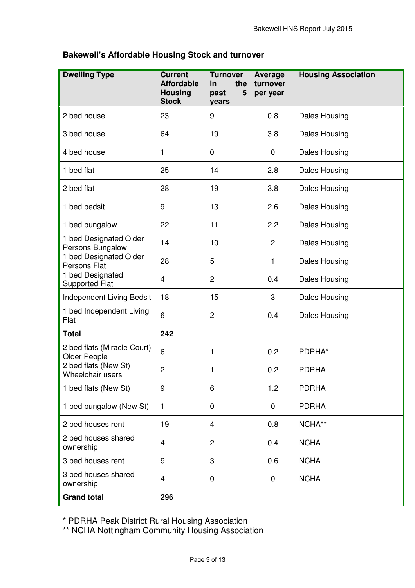## **Bakewell's Affordable Housing Stock and turnover**

| <b>Dwelling Type</b>                        | <b>Current</b><br><b>Affordable</b><br><b>Housing</b><br><b>Stock</b> | <b>Turnover</b><br>the<br>in<br>past<br>5<br>years | Average<br>turnover<br>per year | <b>Housing Association</b> |
|---------------------------------------------|-----------------------------------------------------------------------|----------------------------------------------------|---------------------------------|----------------------------|
| 2 bed house                                 | 23                                                                    | 9                                                  | 0.8                             | Dales Housing              |
| 3 bed house                                 | 64                                                                    | 19                                                 | 3.8                             | <b>Dales Housing</b>       |
| 4 bed house                                 | 1                                                                     | 0                                                  | $\mathbf 0$                     | <b>Dales Housing</b>       |
| 1 bed flat                                  | 25                                                                    | 14                                                 | 2.8                             | <b>Dales Housing</b>       |
| 2 bed flat                                  | 28                                                                    | 19                                                 | 3.8                             | Dales Housing              |
| 1 bed bedsit                                | 9                                                                     | 13                                                 | 2.6                             | Dales Housing              |
| 1 bed bungalow                              | 22                                                                    | 11                                                 | 2.2                             | Dales Housing              |
| 1 bed Designated Older<br>Persons Bungalow  | 14                                                                    | 10                                                 | $\overline{2}$                  | <b>Dales Housing</b>       |
| 1 bed Designated Older<br>Persons Flat      | 28                                                                    | 5                                                  | 1                               | <b>Dales Housing</b>       |
| 1 bed Designated<br><b>Supported Flat</b>   | $\overline{4}$                                                        | $\overline{2}$                                     | 0.4                             | <b>Dales Housing</b>       |
| Independent Living Bedsit                   | 18                                                                    | 15                                                 | 3                               | Dales Housing              |
| 1 bed Independent Living<br>Flat            | 6                                                                     | $\overline{c}$                                     | 0.4                             | Dales Housing              |
| <b>Total</b>                                | 242                                                                   |                                                    |                                 |                            |
| 2 bed flats (Miracle Court)<br>Older People | 6                                                                     | 1                                                  | 0.2                             | PDRHA*                     |
| 2 bed flats (New St)<br>Wheelchair users    | $\overline{2}$                                                        | 1                                                  | 0.2                             | <b>PDRHA</b>               |
| 1 bed flats (New St)                        | 9                                                                     | 6                                                  | 1.2                             | <b>PDRHA</b>               |
| 1 bed bungalow (New St)                     | $\mathbf{1}$                                                          | 0                                                  | $\mathbf 0$                     | <b>PDRHA</b>               |
| 2 bed houses rent                           | 19                                                                    | $\overline{4}$                                     | 0.8                             | NCHA**                     |
| 2 bed houses shared<br>ownership            | $\overline{\mathbf{4}}$                                               | $\overline{2}$                                     | 0.4                             | <b>NCHA</b>                |
| 3 bed houses rent                           | 9                                                                     | 3                                                  | 0.6                             | <b>NCHA</b>                |
| 3 bed houses shared<br>ownership            | $\overline{4}$                                                        | 0                                                  | $\mathbf 0$                     | <b>NCHA</b>                |
| <b>Grand total</b>                          | 296                                                                   |                                                    |                                 |                            |

\* PDRHA Peak District Rural Housing Association

\*\* NCHA Nottingham Community Housing Association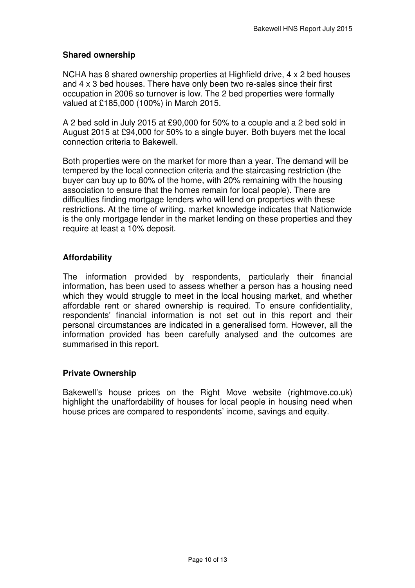### **Shared ownership**

 NCHA has 8 shared ownership properties at Highfield drive, 4 x 2 bed houses and 4 x 3 bed houses. There have only been two re-sales since their first occupation in 2006 so turnover is low. The 2 bed properties were formally valued at £185,000 (100%) in March 2015.

 A 2 bed sold in July 2015 at £90,000 for 50% to a couple and a 2 bed sold in August 2015 at £94,000 for 50% to a single buyer. Both buyers met the local connection criteria to Bakewell.

 Both properties were on the market for more than a year. The demand will be tempered by the local connection criteria and the staircasing restriction (the buyer can buy up to 80% of the home, with 20% remaining with the housing association to ensure that the homes remain for local people). There are difficulties finding mortgage lenders who will lend on properties with these restrictions. At the time of writing, market knowledge indicates that Nationwide is the only mortgage lender in the market lending on these properties and they require at least a 10% deposit.

## **Affordability**

 The information provided by respondents, particularly their financial information, has been used to assess whether a person has a housing need which they would struggle to meet in the local housing market, and whether affordable rent or shared ownership is required. To ensure confidentiality, respondents' financial information is not set out in this report and their personal circumstances are indicated in a generalised form. However, all the information provided has been carefully analysed and the outcomes are summarised in this report.

#### **Private Ownership**

 Bakewell's house prices on the Right Move website ([rightmove.co.uk](https://rightmove.co.uk)) highlight the unaffordability of houses for local people in housing need when house prices are compared to respondents' income, savings and equity.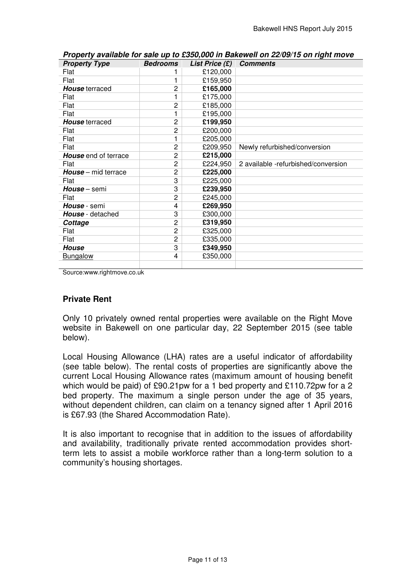| <b>Property Type</b>        | <b>Bedrooms</b> | List Price $(E)$ | <b>Comments</b>                     |
|-----------------------------|-----------------|------------------|-------------------------------------|
| Flat                        |                 | £120,000         |                                     |
| Flat                        | 1               | £159,950         |                                     |
| House terraced              | 2               | £165,000         |                                     |
| Flat                        | 1               | £175,000         |                                     |
| Flat                        | 2               | £185,000         |                                     |
| Flat                        | 1               | £195,000         |                                     |
| <b>House</b> terraced       | 2               | £199,950         |                                     |
| Flat                        | 2               | £200,000         |                                     |
| Flat                        | 1               | £205,000         |                                     |
| Flat                        | 2               | £209,950         | Newly refurbished/conversion        |
| <b>House</b> end of terrace | 2               | £215,000         |                                     |
| Flat                        | 2               | £224,950         | 2 available -refurbished/conversion |
| <b>House</b> – mid terrace  | 2               | £225,000         |                                     |
| Flat                        | 3               | £225,000         |                                     |
| House - semi                | 3               | £239,950         |                                     |
| Flat                        | $\overline{c}$  | £245,000         |                                     |
| House - semi                | 4               | £269,950         |                                     |
| <b>House</b> - detached     | 3               | £300,000         |                                     |
| Cottage                     | 2               | £319,950         |                                     |
| Flat                        | $\overline{c}$  | £325,000         |                                     |
| Flat                        | 2               | £335,000         |                                     |
| <b>House</b>                | 3               | £349,950         |                                     |
| <b>Bungalow</b>             | 4               | £350,000         |                                     |
|                             |                 |                  |                                     |

 **Property available for sale up to £350,000 in Bakewell on 22/09/15 on right move** 

[Source:www.rightmove.co.uk](https://Source:www.rightmove.co.uk)

## **Private Rent**

 Only 10 privately owned rental properties were available on the Right Move website in Bakewell on one particular day, 22 September 2015 (see table below).

below).<br>Local Housing Allowance (LHA) rates are a useful indicator of affordability (see table below). The rental costs of properties are significantly above the current Local Housing Allowance rates (maximum amount of housing benefit which would be paid) of £90.21pw for a 1 bed property and £110.72pw for a 2 bed property. The maximum a single person under the age of 35 years, without dependent children, can claim on a tenancy signed after 1 April 2016 is £67.93 (the Shared Accommodation Rate).

 It is also important to recognise that in addition to the issues of affordability and availability, traditionally private rented accommodation provides short- term lets to assist a mobile workforce rather than a long-term solution to a community's housing shortages.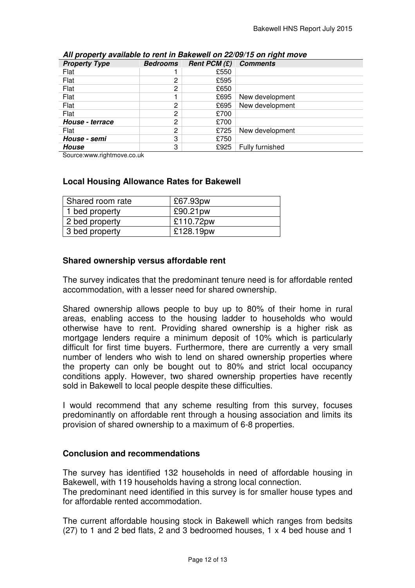|                                                              |                                                               |                        | Bakewell HNS Report July 2015                                                                                                                                                                                                                                                                                                                                                                                                                                                                                                                                                                                         |  |
|--------------------------------------------------------------|---------------------------------------------------------------|------------------------|-----------------------------------------------------------------------------------------------------------------------------------------------------------------------------------------------------------------------------------------------------------------------------------------------------------------------------------------------------------------------------------------------------------------------------------------------------------------------------------------------------------------------------------------------------------------------------------------------------------------------|--|
|                                                              |                                                               |                        |                                                                                                                                                                                                                                                                                                                                                                                                                                                                                                                                                                                                                       |  |
|                                                              | <b>Bedrooms</b>                                               |                        | All property available to rent in Bakewell on 22/09/15 on right move                                                                                                                                                                                                                                                                                                                                                                                                                                                                                                                                                  |  |
| <b>Property Type</b><br>Flat                                 | 1                                                             | Rent PCM $(E)$<br>£550 | <b>Comments</b>                                                                                                                                                                                                                                                                                                                                                                                                                                                                                                                                                                                                       |  |
| Flat                                                         | $\overline{c}$                                                | £595                   |                                                                                                                                                                                                                                                                                                                                                                                                                                                                                                                                                                                                                       |  |
| Flat                                                         | 2                                                             | £650                   |                                                                                                                                                                                                                                                                                                                                                                                                                                                                                                                                                                                                                       |  |
| Flat                                                         | 1                                                             | £695                   | New development                                                                                                                                                                                                                                                                                                                                                                                                                                                                                                                                                                                                       |  |
| Flat                                                         | 2                                                             | £695                   | New development                                                                                                                                                                                                                                                                                                                                                                                                                                                                                                                                                                                                       |  |
| Flat                                                         | 2                                                             | £700                   |                                                                                                                                                                                                                                                                                                                                                                                                                                                                                                                                                                                                                       |  |
| House - terrace                                              | $\overline{c}$                                                | £700                   |                                                                                                                                                                                                                                                                                                                                                                                                                                                                                                                                                                                                                       |  |
| Flat                                                         | $\overline{c}$                                                | £725                   | New development                                                                                                                                                                                                                                                                                                                                                                                                                                                                                                                                                                                                       |  |
| House - semi                                                 | 3                                                             | £750                   |                                                                                                                                                                                                                                                                                                                                                                                                                                                                                                                                                                                                                       |  |
| <b>House</b>                                                 | 3                                                             | £925                   | Fully furnished                                                                                                                                                                                                                                                                                                                                                                                                                                                                                                                                                                                                       |  |
| Source:www.rightmove.co.uk                                   |                                                               |                        |                                                                                                                                                                                                                                                                                                                                                                                                                                                                                                                                                                                                                       |  |
| Shared room rate                                             | <b>Local Housing Allowance Rates for Bakewell</b><br>£67.93pw |                        |                                                                                                                                                                                                                                                                                                                                                                                                                                                                                                                                                                                                                       |  |
|                                                              |                                                               |                        |                                                                                                                                                                                                                                                                                                                                                                                                                                                                                                                                                                                                                       |  |
| 1 bed property                                               |                                                               | £90.21pw               |                                                                                                                                                                                                                                                                                                                                                                                                                                                                                                                                                                                                                       |  |
| 2 bed property                                               |                                                               | £110.72pw              |                                                                                                                                                                                                                                                                                                                                                                                                                                                                                                                                                                                                                       |  |
| 3 bed property                                               |                                                               | £128.19pw              |                                                                                                                                                                                                                                                                                                                                                                                                                                                                                                                                                                                                                       |  |
|                                                              |                                                               |                        |                                                                                                                                                                                                                                                                                                                                                                                                                                                                                                                                                                                                                       |  |
| Shared ownership versus affordable rent                      |                                                               |                        |                                                                                                                                                                                                                                                                                                                                                                                                                                                                                                                                                                                                                       |  |
| accommodation, with a lesser need for shared ownership.      |                                                               |                        | The survey indicates that the predominant tenure need is for affordable rented                                                                                                                                                                                                                                                                                                                                                                                                                                                                                                                                        |  |
| sold in Bakewell to local people despite these difficulties. |                                                               |                        | Shared ownership allows people to buy up to 80% of their home in rural<br>areas, enabling access to the housing ladder to households who would<br>otherwise have to rent. Providing shared ownership is a higher risk as<br>mortgage lenders require a minimum deposit of 10% which is particularly<br>difficult for first time buyers. Furthermore, there are currently a very small<br>number of lenders who wish to lend on shared ownership properties where<br>the property can only be bought out to 80% and strict local occupancy<br>conditions apply. However, two shared ownership properties have recently |  |
|                                                              |                                                               |                        | I would recommend that any scheme resulting from this survey, focuses                                                                                                                                                                                                                                                                                                                                                                                                                                                                                                                                                 |  |

#### **All property available to rent in Bakewell on 22/09/15 on right move**

#### **Local Housing Allowance Rates for Bakewell**

| Shared room rate | £67.93pw  |
|------------------|-----------|
| 1 bed property   | £90.21pw  |
| 2 bed property   | £110.72pw |
| 3 bed property   | £128.19pw |

#### **Shared ownership versus affordable rent**

 would recommend that any scheme resulting from this survey, focuses predominantly on affordable rent through a housing association and limits its provision of shared ownership to a maximum of 6-8 properties.

## **Conclusion and recommendations**

 The survey has identified 132 households in need of affordable housing in Bakewell, with 119 households having a strong local connection.

 The predominant need identified in this survey is for smaller house types and for affordable rented accommodation.

 The current affordable housing stock in Bakewell which ranges from bedsits (27) to 1 and 2 bed flats, 2 and 3 bedroomed houses, 1 x 4 bed house and 1